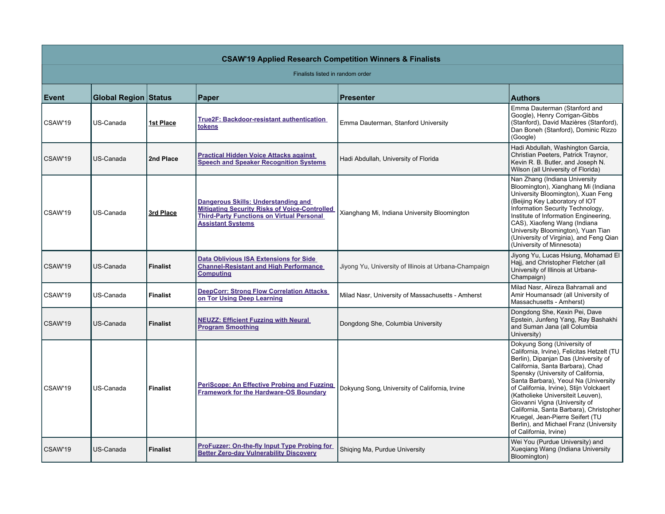| <b>CSAW'19 Applied Research Competition Winners &amp; Finalists</b> |                             |                 |                                                                                                                                                                             |                                                       |                                                                                                                                                                                                                                                                                                                                                                                                                                                                                                         |  |  |  |  |
|---------------------------------------------------------------------|-----------------------------|-----------------|-----------------------------------------------------------------------------------------------------------------------------------------------------------------------------|-------------------------------------------------------|---------------------------------------------------------------------------------------------------------------------------------------------------------------------------------------------------------------------------------------------------------------------------------------------------------------------------------------------------------------------------------------------------------------------------------------------------------------------------------------------------------|--|--|--|--|
| Finalists listed in random order                                    |                             |                 |                                                                                                                                                                             |                                                       |                                                                                                                                                                                                                                                                                                                                                                                                                                                                                                         |  |  |  |  |
| <b>Event</b>                                                        | <b>Global Region Status</b> |                 | Paper                                                                                                                                                                       | <b>Presenter</b>                                      | <b>Authors</b>                                                                                                                                                                                                                                                                                                                                                                                                                                                                                          |  |  |  |  |
| CSAW'19                                                             | US-Canada                   | 1st Place       | <b>True2F: Backdoor-resistant authentication</b><br>tokens                                                                                                                  | Emma Dauterman, Stanford University                   | Emma Dauterman (Stanford and<br>Google), Henry Corrigan-Gibbs<br>(Stanford), David Mazières (Stanford),<br>Dan Boneh (Stanford), Dominic Rizzo<br>(Google)                                                                                                                                                                                                                                                                                                                                              |  |  |  |  |
| CSAW'19                                                             | US-Canada                   | 2nd Place       | <b>Practical Hidden Voice Attacks against</b><br><b>Speech and Speaker Recognition Systems</b>                                                                              | Hadi Abdullah, University of Florida                  | Hadi Abdullah, Washington Garcia,<br>Christian Peeters, Patrick Traynor,<br>Kevin R. B. Butler, and Joseph N.<br>Wilson (all University of Florida)                                                                                                                                                                                                                                                                                                                                                     |  |  |  |  |
| CSAW'19                                                             | US-Canada                   | 3rd Place       | Dangerous Skills: Understanding and<br><b>Mitigating Security Risks of Voice-Controlled</b><br><b>Third-Party Functions on Virtual Personal</b><br><b>Assistant Systems</b> | Xianghang Mi, Indiana University Bloomington          | Nan Zhang (Indiana University<br>Bloomington), Xianghang Mi (Indiana<br>University Bloomington), Xuan Feng<br>(Beijing Key Laboratory of IOT<br>Information Security Technology,<br>Institute of Information Engineering,<br>CAS), Xiaofeng Wang (Indiana<br>University Bloomington), Yuan Tian<br>(University of Virginia), and Feng Qian<br>(University of Minnesota)                                                                                                                                 |  |  |  |  |
| CSAW'19                                                             | US-Canada                   | <b>Finalist</b> | Data Oblivious ISA Extensions for Side<br><b>Channel-Resistant and High Performance</b><br><b>Computing</b>                                                                 | Jiyong Yu, University of Illinois at Urbana-Champaign | Jiyong Yu, Lucas Hsiung, Mohamad El<br>Hajj, and Christopher Fletcher (all<br>University of Illinois at Urbana-<br>Champaign)                                                                                                                                                                                                                                                                                                                                                                           |  |  |  |  |
| CSAW'19                                                             | US-Canada                   | <b>Finalist</b> | DeepCorr: Strong Flow Correlation Attacks<br>on Tor Using Deep Learning                                                                                                     | Milad Nasr, University of Massachusetts - Amherst     | Milad Nasr, Alireza Bahramali and<br>Amir Houmansadr (all University of<br>Massachusetts - Amherst)                                                                                                                                                                                                                                                                                                                                                                                                     |  |  |  |  |
| CSAW'19                                                             | US-Canada                   | <b>Finalist</b> | <b>NEUZZ: Efficient Fuzzing with Neural</b><br><b>Program Smoothing</b>                                                                                                     | Dongdong She, Columbia University                     | Dongdong She, Kexin Pei, Dave<br>Epstein, Junfeng Yang, Ray Bashakhi<br>and Suman Jana (all Columbia<br>University)                                                                                                                                                                                                                                                                                                                                                                                     |  |  |  |  |
| CSAW'19                                                             | US-Canada                   | <b>Finalist</b> | PeriScope: An Effective Probing and Fuzzing<br><b>Framework for the Hardware-OS Boundary</b>                                                                                | Dokyung Song, University of California, Irvine        | Dokyung Song (University of<br>California, Irvine), Felicitas Hetzelt (TU<br>Berlin), Dipanjan Das (University of<br>California, Santa Barbara), Chad<br>Spensky (University of California,<br>Santa Barbara), Yeoul Na (University<br>of California, Irvine), Stijn Volckaert<br>(Katholieke Universiteit Leuven),<br>Giovanni Vigna (University of<br>California, Santa Barbara), Christopher<br>Kruegel, Jean-Pierre Seifert (TU<br>Berlin), and Michael Franz (University<br>of California, Irvine) |  |  |  |  |
| CSAW'19                                                             | US-Canada                   | <b>Finalist</b> | ProFuzzer: On-the-fly Input Type Probing for<br><b>Better Zero-day Vulnerability Discovery</b>                                                                              | Shiging Ma, Purdue University                         | Wei You (Purdue University) and<br>Xueqiang Wang (Indiana University<br>Bloomington)                                                                                                                                                                                                                                                                                                                                                                                                                    |  |  |  |  |